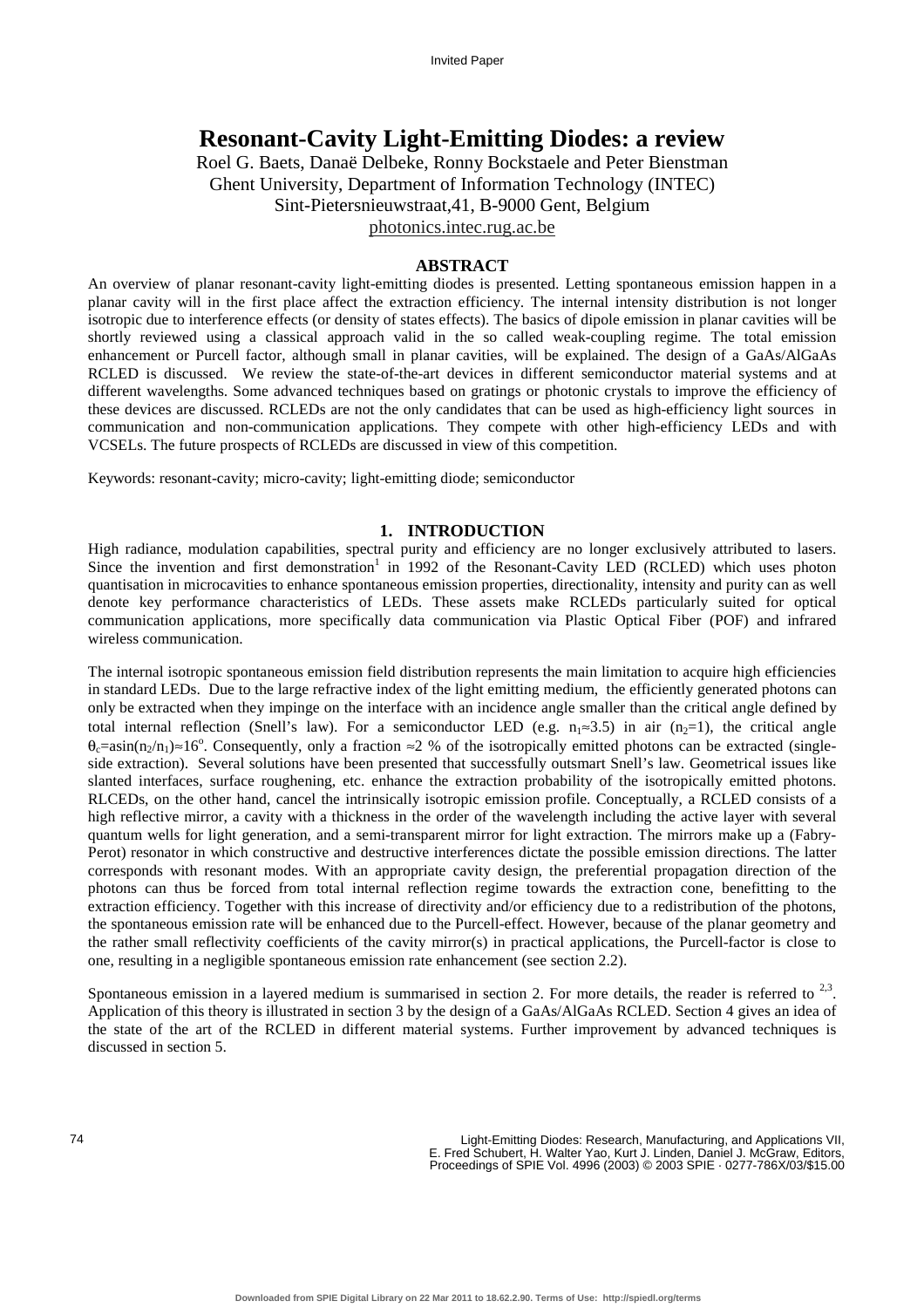# **Resonant-Cavity Light-Emitting Diodes: a review**

Roel G. Baets, Danaë Delbeke, Ronny Bockstaele and Peter Bienstman Ghent University, Department of Information Technology (INTEC) Sint-Pietersnieuwstraat,41, B-9000 Gent, Belgium photonics.intec.rug.ac.be

# **ABSTRACT**

An overview of planar resonant-cavity light-emitting diodes is presented. Letting spontaneous emission happen in a planar cavity will in the first place affect the extraction efficiency. The internal intensity distribution is not longer isotropic due to interference effects (or density of states effects). The basics of dipole emission in planar cavities will be shortly reviewed using a classical approach valid in the so called weak-coupling regime. The total emission enhancement or Purcell factor, although small in planar cavities, will be explained. The design of a GaAs/AlGaAs RCLED is discussed. We review the state-of-the-art devices in different semiconductor material systems and at different wavelengths. Some advanced techniques based on gratings or photonic crystals to improve the efficiency of these devices are discussed. RCLEDs are not the only candidates that can be used as high-efficiency light sources in communication and non-communication applications. They compete with other high-efficiency LEDs and with VCSELs. The future prospects of RCLEDs are discussed in view of this competition.

Keywords: resonant-cavity; micro-cavity; light-emitting diode; semiconductor

#### **1. INTRODUCTION**

High radiance, modulation capabilities, spectral purity and efficiency are no longer exclusively attributed to lasers. Since the invention and first demonstration<sup>1</sup> in 1992 of the Resonant-Cavity LED (RCLED) which uses photon quantisation in microcavities to enhance spontaneous emission properties, directionality, intensity and purity can as well denote key performance characteristics of LEDs. These assets make RCLEDs particularly suited for optical communication applications, more specifically data communication via Plastic Optical Fiber (POF) and infrared wireless communication.

The internal isotropic spontaneous emission field distribution represents the main limitation to acquire high efficiencies in standard LEDs. Due to the large refractive index of the light emitting medium, the efficiently generated photons can only be extracted when they impinge on the interface with an incidence angle smaller than the critical angle defined by total internal reflection (Snell's law). For a semiconductor LED (e.g.  $n_1 \approx 3.5$ ) in air ( $n_2=1$ ), the critical angle  $\theta_c = \text{asin}(n_2/n_1) \approx 16^\circ$ . Consequently, only a fraction  $\approx 2$  % of the isotropically emitted photons can be extracted (singleside extraction). Several solutions have been presented that successfully outsmart Snell's law. Geometrical issues like slanted interfaces, surface roughening, etc. enhance the extraction probability of the isotropically emitted photons. RLCEDs, on the other hand, cancel the intrinsically isotropic emission profile. Conceptually, a RCLED consists of a high reflective mirror, a cavity with a thickness in the order of the wavelength including the active layer with several quantum wells for light generation, and a semi-transparent mirror for light extraction. The mirrors make up a (Fabry-Perot) resonator in which constructive and destructive interferences dictate the possible emission directions. The latter corresponds with resonant modes. With an appropriate cavity design, the preferential propagation direction of the photons can thus be forced from total internal reflection regime towards the extraction cone, benefitting to the extraction efficiency. Together with this increase of directivity and/or efficiency due to a redistribution of the photons, the spontaneous emission rate will be enhanced due to the Purcell-effect. However, because of the planar geometry and the rather small reflectivity coefficients of the cavity mirror(s) in practical applications, the Purcell-factor is close to one, resulting in a negligible spontaneous emission rate enhancement (see section 2.2).

Spontaneous emission in a layered medium is summarised in section 2. For more details, the reader is referred to  $2.3$ . Application of this theory is illustrated in section 3 by the design of a GaAs/AlGaAs RCLED. Section 4 gives an idea of the state of the art of the RCLED in different material systems. Further improvement by advanced techniques is discussed in section 5.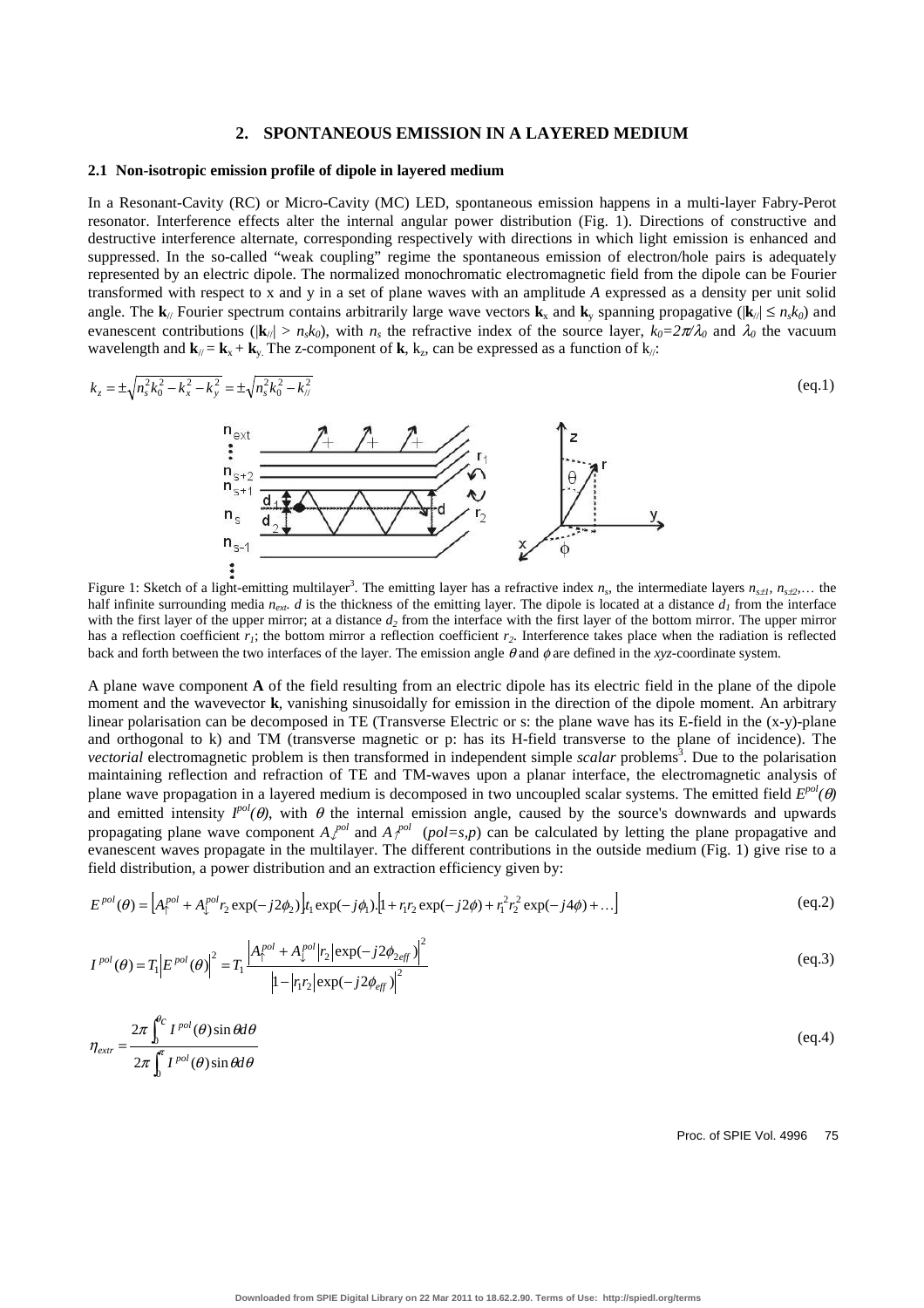#### **2. SPONTANEOUS EMISSION IN A LAYERED MEDIUM**

#### **2.1 Non-isotropic emission profile of dipole in layered medium**

In a Resonant-Cavity (RC) or Micro-Cavity (MC) LED, spontaneous emission happens in a multi-layer Fabry-Perot resonator. Interference effects alter the internal angular power distribution (Fig. 1). Directions of constructive and destructive interference alternate, corresponding respectively with directions in which light emission is enhanced and suppressed. In the so-called "weak coupling" regime the spontaneous emission of electron/hole pairs is adequately represented by an electric dipole. The normalized monochromatic electromagnetic field from the dipole can be Fourier transformed with respect to x and y in a set of plane waves with an amplitude *A* expressed as a density per unit solid angle. The  $\mathbf{k}_{\ell}$  Fourier spectrum contains arbitrarily large wave vectors  $\mathbf{k}_x$  and  $\mathbf{k}_y$  spanning propagative ( $|\mathbf{k}_{\ell}| \le n_s k_0$ ) and evanescent contributions ( $|\mathbf{k}_l| > n_s k_0$ ), with  $n_s$  the refractive index of the source layer,  $k_0 = 2\pi\lambda_0$  and  $\lambda_0$  the vacuum wavelength and  $\mathbf{k}_{\parallel} = \mathbf{k}_{\perp} + \mathbf{k}_{\text{v}}$ . The z-component of **k**,  $k_z$ , can be expressed as a function of  $k_{\parallel}$ :

$$
k_{z} = \pm \sqrt{n_{s}^{2}k_{0}^{2} - k_{x}^{2} - k_{y}^{2}} = \pm \sqrt{n_{s}^{2}k_{0}^{2} - k_{y}^{2}}
$$
\n
$$
n_{s+1}^{n_{s+2}}
$$
\n
$$
n_{s-1}^{n_{s+1}}
$$
\n
$$
n_{s-1}^{n_{s+2}}
$$
\n
$$
n_{s-1}^{n_{s+1}}
$$
\n
$$
n_{s-1}^{n_{s+2}}
$$
\n
$$
n_{s-1}^{n_{s+1}}
$$
\n
$$
n_{s-1}^{n_{s+1}}
$$
\n
$$
n_{s-1}^{n_{s+1}}
$$
\n
$$
n_{s-1}^{n_{s+1}}
$$
\n
$$
n_{s-1}^{n_{s+1}}
$$
\n
$$
n_{s-1}^{n_{s+1}}
$$
\n
$$
n_{s-1}^{n_{s+1}}
$$
\n
$$
n_{s-1}^{n_{s+1}}
$$
\n
$$
n_{s-1}^{n_{s+1}}
$$
\n
$$
n_{s-1}^{n_{s+1}}
$$
\n
$$
n_{s-1}^{n_{s+1}}
$$
\n
$$
n_{s-1}^{n_{s+1}}
$$
\n
$$
n_{s-1}^{n_{s+1}}
$$
\n
$$
n_{s-1}^{n_{s+1}}
$$
\n
$$
n_{s-1}^{n_{s+1}}
$$
\n
$$
n_{s-1}^{n_{s+1}}
$$
\n
$$
n_{s-1}^{n_{s+1}}
$$
\n
$$
n_{s-1}^{n_{s+1}}
$$
\n
$$
n_{s-1}^{n_{s+1}}
$$
\n
$$
n_{s-1}^{n_{s+1}}
$$
\n
$$
n_{s-1}^{n_{s+1}}
$$
\n
$$
n_{s-1}^{n_{s+1}}
$$
\n
$$
n_{s-1}^{n_{s+1}}
$$
\n
$$
n_{s-1}^{n_{s+1}}
$$
\n
$$
n_{s-1}^{n_{s+1}}
$$
\n
$$
n_{s-1}^{n_{s+1}}
$$
\n
$$
n_{
$$

Figure 1: Sketch of a light-emitting multilayer<sup>3</sup>. The emitting layer has a refractive index  $n_s$ , the intermediate layers  $n_{s\pm 1}$ ,  $n_{s\pm 2}$ ,... the half infinite surrounding media  $n_{ext}$ . *d* is the thickness of the emitting layer. The dipole is located at a distance  $d_1$  from the interface with the first layer of the upper mirror; at a distance  $d_2$  from the interface with the first layer of the bottom mirror. The upper mirror has a reflection coefficient  $r_1$ ; the bottom mirror a reflection coefficient  $r_2$ . Interference takes place when the radiation is reflected back and forth between the two interfaces of the layer. The emission angle  $\theta$  and  $\phi$  are defined in the *xyz*-coordinate system.

A plane wave component **A** of the field resulting from an electric dipole has its electric field in the plane of the dipole moment and the wavevector **k**, vanishing sinusoidally for emission in the direction of the dipole moment. An arbitrary linear polarisation can be decomposed in TE (Transverse Electric or s: the plane wave has its E-field in the (x-y)-plane and orthogonal to k) and TM (transverse magnetic or p: has its H-field transverse to the plane of incidence). The *vectorial* electromagnetic problem is then transformed in independent simple *scalar* problems<sup>3</sup>. Due to the polarisation maintaining reflection and refraction of TE and TM-waves upon a planar interface, the electromagnetic analysis of plane wave propagation in a layered medium is decomposed in two uncoupled scalar systems. The emitted field  $E^{pol}(\theta)$ and emitted intensity  $I^{pol}(\theta)$ , with  $\theta$  the internal emission angle, caused by the source's downwards and upwards propagating plane wave component  $A \, \ell^{pol}$  and  $A \, \ell^{pol}$  ( $pol=s, p$ ) can be calculated by letting the plane propagative and evanescent waves propagate in the multilayer. The different contributions in the outside medium (Fig. 1) give rise to a field distribution, a power distribution and an extraction efficiency given by:

$$
E^{pol}(\theta) = \left[A_{\uparrow}^{pol} + A_{\downarrow}^{pol}r_2 \exp(-j2\phi_2)\right]t_1 \exp(-j\phi_1) \left[1 + r_1r_2 \exp(-j2\phi) + r_1^2r_2^2 \exp(-j4\phi) + ...\right]
$$
(eq.2)

$$
I^{pol}(\theta) = T_1 \Big| E^{pol}(\theta) \Big|^2 = T_1 \frac{\Big| A_1^{pol} + A_\downarrow^{pol} \Big| r_2 \Big| \exp(-j2\phi_{2\ell f}) \Big|^2}{\Big| 1 - \Big| r_1 r_2 \Big| \exp(-j2\phi_{\ell f}) \Big|^2}
$$
(eq.3)

$$
\eta_{extr} = \frac{2\pi \int_0^{\theta_c} I^{pol}(\theta) \sin \theta d\theta}{2\pi \int_0^{\pi} I^{pol}(\theta) \sin \theta d\theta}
$$
 (eq.4)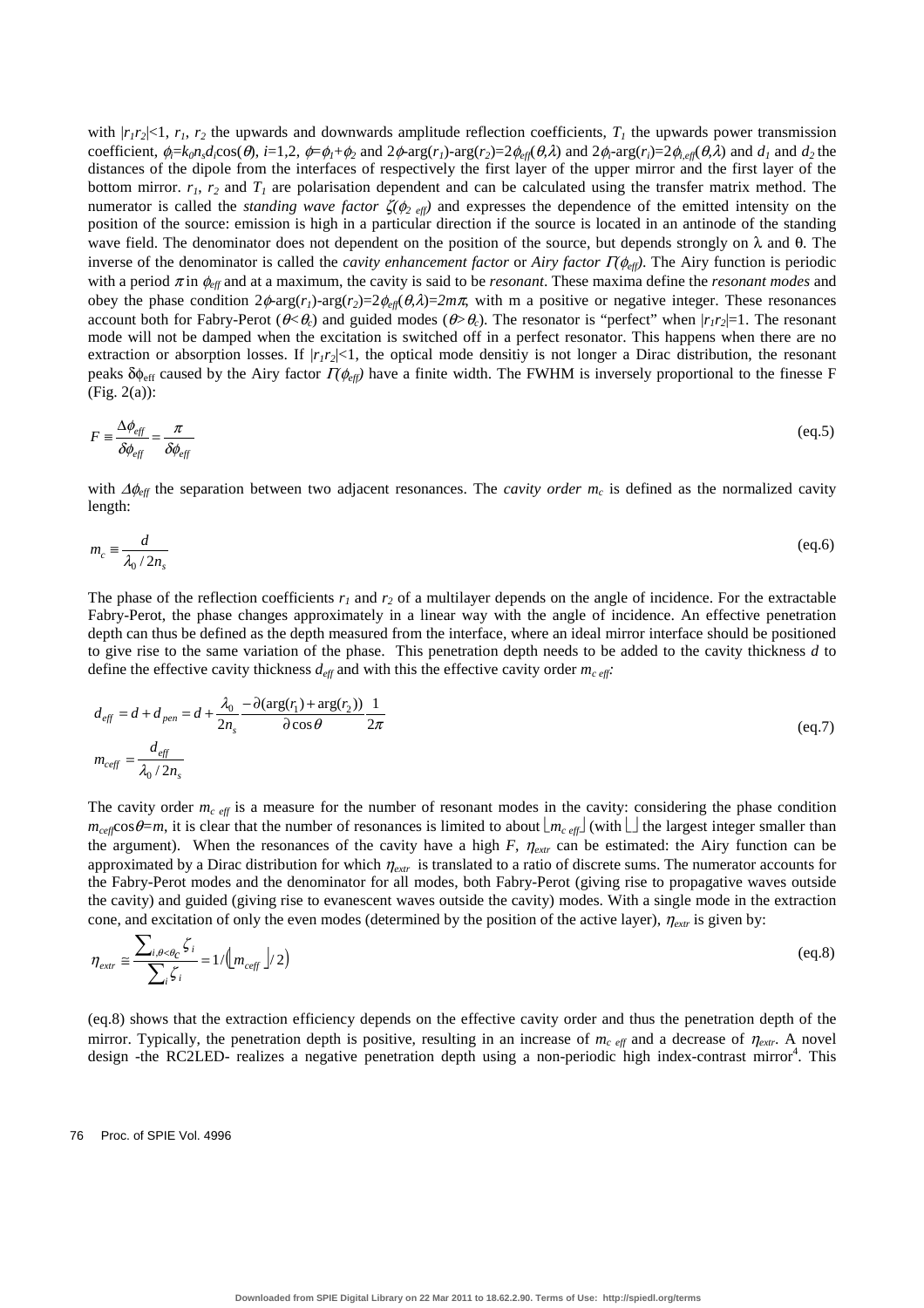with  $|r_1r_2|<1$ ,  $r_1$ ,  $r_2$  the upwards and downwards amplitude reflection coefficients,  $T_1$  the upwards power transmission coefficient,  $\phi_i = k_0 n_s d_i \cos(\theta)$ ,  $i = 1, 2, \phi = \phi_i + \phi_2$  and  $2\phi_i \arg(r_i) - \arg(r_i) = 2\phi_{\text{eff}}(\theta, \lambda)$  and  $2\phi_i \arg(r_i) = 2\phi_{i,\text{eff}}(\theta, \lambda)$  and  $d_i$  and  $d_2$  the distances of the dipole from the interfaces of respectively the first layer of the upper mirror and the first layer of the bottom mirror.  $r_1$ ,  $r_2$  and  $T_1$  are polarisation dependent and can be calculated using the transfer matrix method. The numerator is called the *standing wave factor* ζ*(*φ*2 eff)* and expresses the dependence of the emitted intensity on the position of the source: emission is high in a particular direction if the source is located in an antinode of the standing wave field. The denominator does not dependent on the position of the source, but depends strongly on λ and θ. The inverse of the denominator is called the *cavity enhancement factor* or *Airy factor* <sup>Γ</sup>*(*φ*eff)*. The Airy function is periodic with a period <sup>π</sup> in φ*eff* and at a maximum, the cavity is said to be *resonant*. These maxima define the *resonant modes* and obey the phase condition  $2\phi$ -arg( $r_1$ )-arg( $r_2$ )= $2\phi_{\text{eff}}(\theta,\lambda)$ = $2m\pi$ , with m a positive or negative integer. These resonances account both for Fabry-Perot ( $\theta < \theta_c$ ) and guided modes ( $\theta > \theta_c$ ). The resonator is "perfect" when  $|r_1r_2|=1$ . The resonant mode will not be damped when the excitation is switched off in a perfect resonator. This happens when there are no extraction or absorption losses. If  $|r_1r_2|<1$ , the optical mode densitiy is not longer a Dirac distribution, the resonant peaks δ $φ_{\text{eff}}$  caused by the Airy factor  $Γ(φ_{\text{eff}})$  have a finite width. The FWHM is inversely proportional to the finesse F (Fig. 2(a)):

$$
F \equiv \frac{\Delta \phi_{\text{eff}}}{\delta \phi_{\text{eff}}} = \frac{\pi}{\delta \phi_{\text{eff}}}
$$
(eq.5)

with Δ $φ<sub>eff</sub>$  the separation between two adjacent resonances. The *cavity order m<sub>c</sub>* is defined as the normalized cavity length:

$$
m_c \equiv \frac{d}{\lambda_0 / 2n_s} \tag{eq.6}
$$

The phase of the reflection coefficients  $r_1$  and  $r_2$  of a multilayer depends on the angle of incidence. For the extractable Fabry-Perot, the phase changes approximately in a linear way with the angle of incidence. An effective penetration depth can thus be defined as the depth measured from the interface, where an ideal mirror interface should be positioned to give rise to the same variation of the phase. This penetration depth needs to be added to the cavity thickness *d* to define the effective cavity thickness  $d_{\text{eff}}$  and with this the effective cavity order  $m_{c \text{eff}}$ :

$$
d_{\text{eff}} = d + d_{\text{pen}} = d + \frac{\lambda_0}{2n_s} - \frac{\partial(\arg(r_1) + \arg(r_2))}{\partial \cos \theta} \frac{1}{2\pi}
$$
\n
$$
m_{\text{eff}} = \frac{d_{\text{eff}}}{\lambda_0 / 2n_s} \tag{eq.7}
$$

The cavity order  $m_{c \text{ eff}}$  is a measure for the number of resonant modes in the cavity: considering the phase condition  $m_{ce\beta}$ cos $\theta$ =m, it is clear that the number of resonances is limited to about  $\lfloor m_{c \text{ eff}} \rfloor$  (with  $\lfloor \rfloor$  the largest integer smaller than the argument). When the resonances of the cavity have a high  $F$ ,  $\eta_{\text{extr}}$  can be estimated: the Airy function can be approximated by a Dirac distribution for which <sup>η</sup>*extr* is translated to a ratio of discrete sums. The numerator accounts for the Fabry-Perot modes and the denominator for all modes, both Fabry-Perot (giving rise to propagative waves outside the cavity) and guided (giving rise to evanescent waves outside the cavity) modes. With a single mode in the extraction cone, and excitation of only the even modes (determined by the position of the active layer), <sup>η</sup>*extr* is given by:

$$
\eta_{\text{extr}} \equiv \frac{\sum_{i,\theta < \theta_C} \zeta_i}{\sum_i \zeta_i} = 1 / \left( m_{\text{ceff}} \right) / 2 \tag{eq.8}
$$

(eq.8) shows that the extraction efficiency depends on the effective cavity order and thus the penetration depth of the mirror. Typically, the penetration depth is positive, resulting in an increase of  $m_c$  eff and a decrease of  $\eta_{extr}$ . A novel design -the RC2LED- realizes a negative penetration depth using a non-periodic high index-contrast mirror<sup>4</sup>. This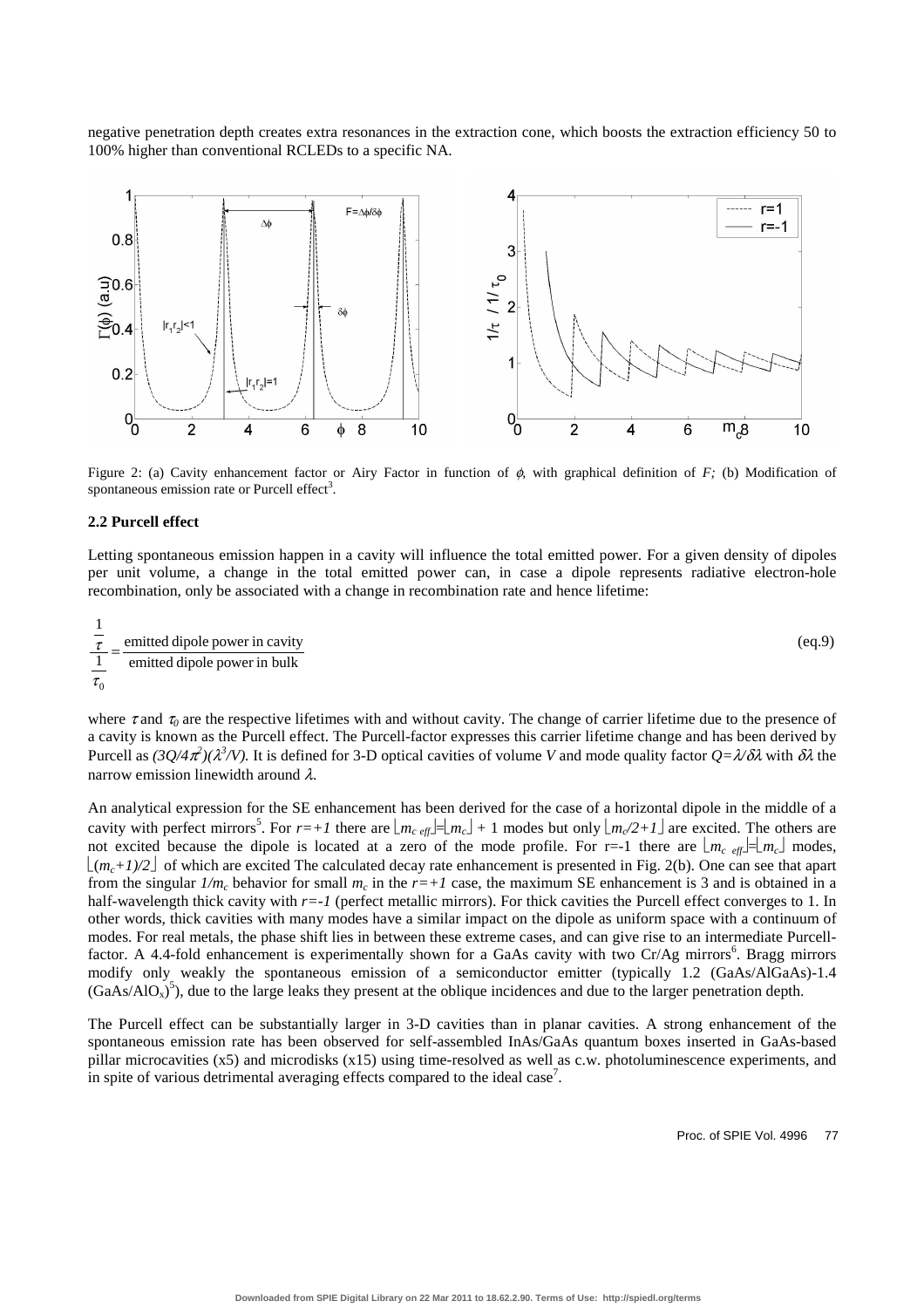negative penetration depth creates extra resonances in the extraction cone, which boosts the extraction efficiency 50 to 100% higher than conventional RCLEDs to a specific NA.



Figure 2: (a) Cavity enhancement factor or Airy Factor in function of φ*,* with graphical definition of *F;* (b) Modification of spontaneous emission rate or Purcell effect<sup>3</sup>.

## **2.2 Purcell effect**

Letting spontaneous emission happen in a cavity will influence the total emitted power. For a given density of dipoles per unit volume, a change in the total emitted power can, in case a dipole represents radiative electron-hole recombination, only be associated with a change in recombination rate and hence lifetime:

$$
\frac{\frac{1}{\tau}}{\frac{1}{\tau_0}} = \frac{\text{emitted dipole power in cavity}}{\text{emitted dipole power in bulk}}
$$
 (eq.9)

where  $\tau$  and  $\tau_0$  are the respective lifetimes with and without cavity. The change of carrier lifetime due to the presence of a cavity is known as the Purcell effect. The Purcell-factor expresses this carrier lifetime change and has been derived by Purcell as  $(3Q/4\pi^2)(\lambda^3/V)$ . It is defined for 3-D optical cavities of volume *V* and mode quality factor  $Q = \lambda/\delta\lambda$  with  $\delta\lambda$  the narrow emission linewidth around  $\lambda$ .

An analytical expression for the SE enhancement has been derived for the case of a horizontal dipole in the middle of a cavity with perfect mirrors<sup>5</sup>. For  $r=+1$  there are  $\lfloor m_c e_f \rfloor \lfloor m_c \rfloor + 1$  modes but only  $\lfloor m_c/2+1 \rfloor$  are excited. The others are not excited because the dipole is located at a zero of the mode profile. For r=-1 there are  $\lfloor m_c \rfloor_{\text{eff}} \rfloor \lfloor m_c \rfloor$  modes,  $\lfloor (m_c+1)/2 \rfloor$  of which are excited The calculated decay rate enhancement is presented in Fig. 2(b). One can see that apart from the singular  $1/m_c$  behavior for small  $m_c$  in the  $r=+1$  case, the maximum SE enhancement is 3 and is obtained in a half-wavelength thick cavity with  $r=-1$  (perfect metallic mirrors). For thick cavities the Purcell effect converges to 1. In other words, thick cavities with many modes have a similar impact on the dipole as uniform space with a continuum of modes. For real metals, the phase shift lies in between these extreme cases, and can give rise to an intermediate Purcellfactor. A 4.4-fold enhancement is experimentally shown for a GaAs cavity with two Cr/Ag mirrors<sup>6</sup>. Bragg mirrors modify only weakly the spontaneous emission of a semiconductor emitter (typically 1.2 (GaAs/AlGaAs)-1.4  $(GaAs/AlO<sub>x</sub>)<sup>5</sup>$ ), due to the large leaks they present at the oblique incidences and due to the larger penetration depth.

The Purcell effect can be substantially larger in 3-D cavities than in planar cavities. A strong enhancement of the spontaneous emission rate has been observed for self-assembled InAs/GaAs quantum boxes inserted in GaAs-based pillar microcavities (x5) and microdisks (x15) using time-resolved as well as c.w. photoluminescence experiments, and in spite of various detrimental averaging effects compared to the ideal case<sup>7</sup>.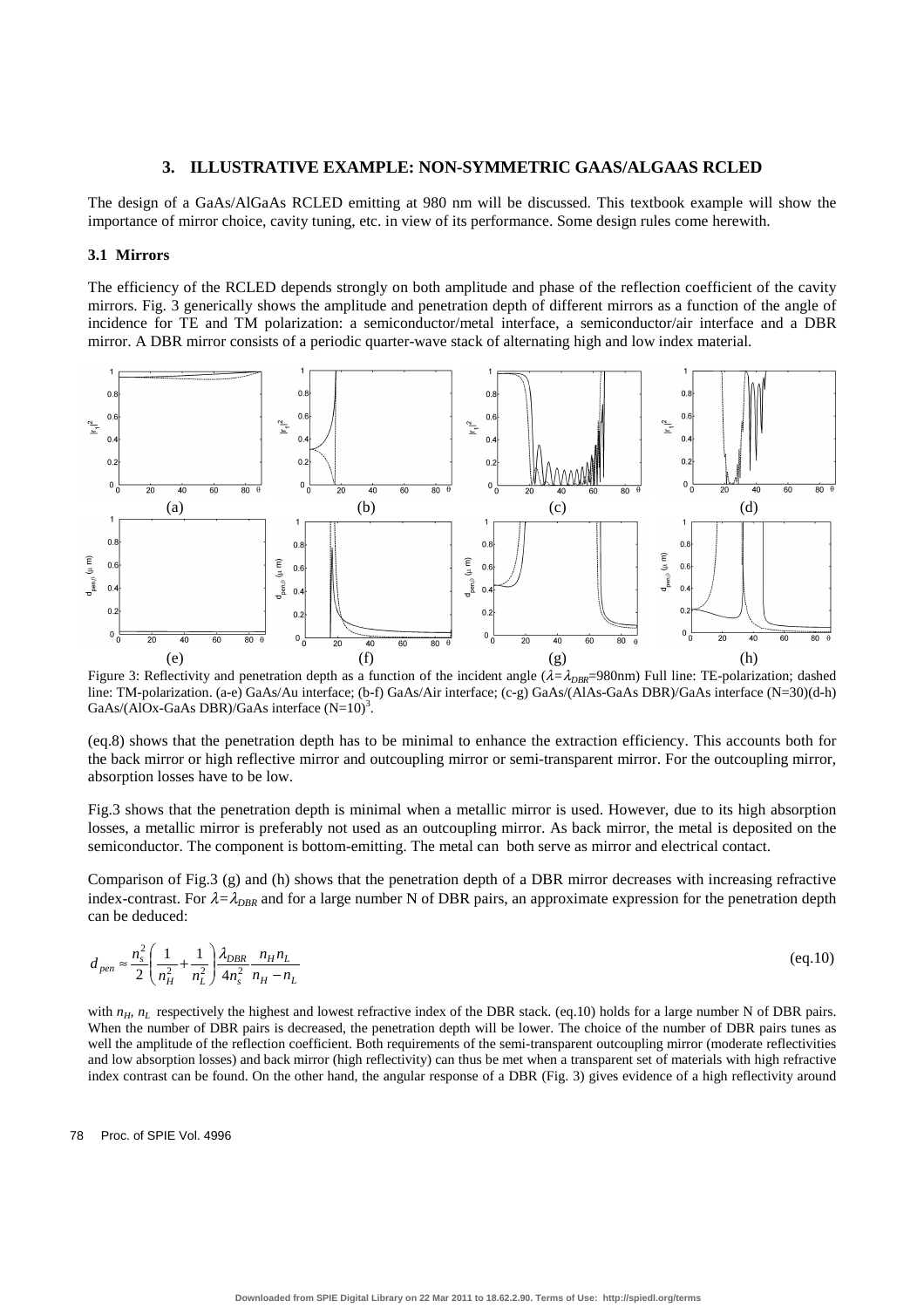## **3. ILLUSTRATIVE EXAMPLE: NON-SYMMETRIC GAAS/ALGAAS RCLED**

The design of a GaAs/AlGaAs RCLED emitting at 980 nm will be discussed. This textbook example will show the importance of mirror choice, cavity tuning, etc. in view of its performance. Some design rules come herewith.

#### **3.1 Mirrors**

The efficiency of the RCLED depends strongly on both amplitude and phase of the reflection coefficient of the cavity mirrors. Fig. 3 generically shows the amplitude and penetration depth of different mirrors as a function of the angle of incidence for TE and TM polarization: a semiconductor/metal interface, a semiconductor/air interface and a DBR mirror. A DBR mirror consists of a periodic quarter-wave stack of alternating high and low index material.



Figure 3: Reflectivity and penetration depth as a function of the incident angle (λ*=*λ*DBR*=980nm) Full line: TE-polarization; dashed line: TM-polarization. (a-e) GaAs/Au interface; (b-f) GaAs/Air interface; (c-g) GaAs/(AlAs-GaAs DBR)/GaAs interface (N=30)(d-h) GaAs/(AlOx-GaAs DBR)/GaAs interface  $(N=10)^3$ .

(eq.8) shows that the penetration depth has to be minimal to enhance the extraction efficiency. This accounts both for the back mirror or high reflective mirror and outcoupling mirror or semi-transparent mirror. For the outcoupling mirror, absorption losses have to be low.

Fig.3 shows that the penetration depth is minimal when a metallic mirror is used. However, due to its high absorption losses, a metallic mirror is preferably not used as an outcoupling mirror. As back mirror, the metal is deposited on the semiconductor. The component is bottom-emitting. The metal can both serve as mirror and electrical contact.

Comparison of Fig.3 (g) and (h) shows that the penetration depth of a DBR mirror decreases with increasing refractive index-contrast. For  $\lambda = \lambda_{DRR}$  and for a large number N of DBR pairs, an approximate expression for the penetration depth can be deduced:

$$
d_{pen} \approx \frac{n_s^2}{2} \left( \frac{1}{n_H^2} + \frac{1}{n_L^2} \right) \frac{\lambda_{DBR}}{4n_s^2} \frac{n_H n_L}{n_H - n_L}
$$
(eq.10)

with  $n_H$ ,  $n_L$  respectively the highest and lowest refractive index of the DBR stack. (eq.10) holds for a large number N of DBR pairs. When the number of DBR pairs is decreased, the penetration depth will be lower. The choice of the number of DBR pairs tunes as well the amplitude of the reflection coefficient. Both requirements of the semi-transparent outcoupling mirror (moderate reflectivities and low absorption losses) and back mirror (high reflectivity) can thus be met when a transparent set of materials with high refractive index contrast can be found. On the other hand, the angular response of a DBR (Fig. 3) gives evidence of a high reflectivity around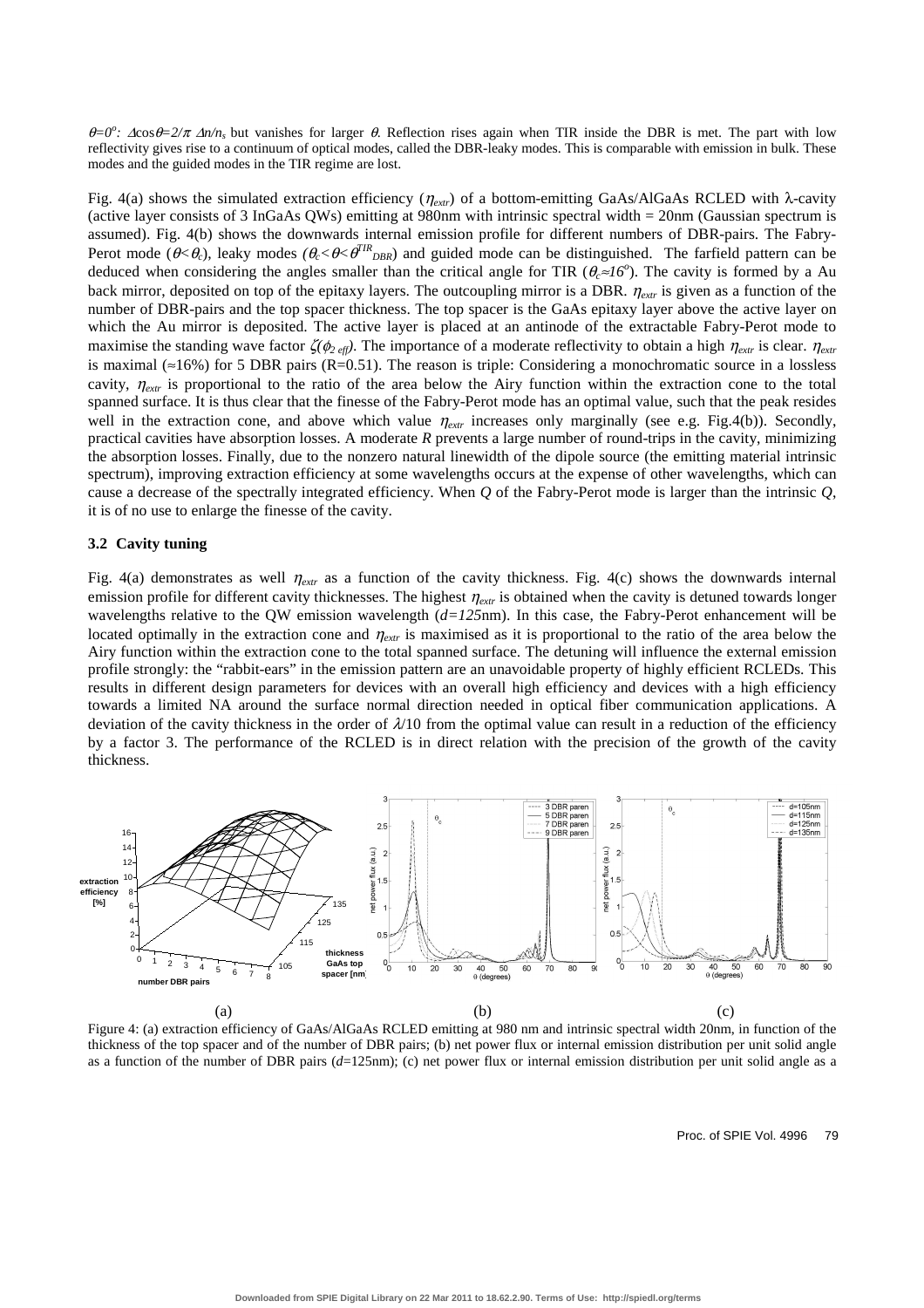θ=0<sup>o</sup>: Δcosθ=2/π Δ*n/n<sub>s</sub>* but vanishes for larger θ. Reflection rises again when TIR inside the DBR is met. The part with low reflectivity gives rise to a continuum of optical modes, called the DBR-leaky modes. This is comparable with emission in bulk. These modes and the guided modes in the TIR regime are lost.

Fig. 4(a) shows the simulated extraction efficiency (η*extr*) of a bottom-emitting GaAs/AlGaAs RCLED with λ-cavity (active layer consists of 3 InGaAs QWs) emitting at 980nm with intrinsic spectral width = 20nm (Gaussian spectrum is assumed). Fig. 4(b) shows the downwards internal emission profile for different numbers of DBR-pairs. The Fabry-Perot mode ( $\theta \ll \theta_c$ ), leaky modes ( $\theta_c \ll \theta \ll \theta^{TIR}$ <sub>DBR</sub>) and guided mode can be distinguished. The farfield pattern can be deduced when considering the angles smaller than the critical angle for TIR ( $\theta_c \approx 16^{\circ}$ ). The cavity is formed by a Au back mirror, deposited on top of the epitaxy layers. The outcoupling mirror is a DBR. <sup>η</sup>*extr* is given as a function of the number of DBR-pairs and the top spacer thickness. The top spacer is the GaAs epitaxy layer above the active layer on which the Au mirror is deposited. The active layer is placed at an antinode of the extractable Fabry-Perot mode to maximise the standing wave factor ζ*(*φ*2 eff)*. The importance of a moderate reflectivity to obtain a high <sup>η</sup>*extr* is clear. <sup>η</sup>*extr* is maximal  $(\approx 16\%)$  for 5 DBR pairs (R=0.51). The reason is triple: Considering a monochromatic source in a lossless cavity,  $\eta_{\text{extr}}$  is proportional to the ratio of the area below the Airy function within the extraction cone to the total spanned surface. It is thus clear that the finesse of the Fabry-Perot mode has an optimal value, such that the peak resides well in the extraction cone, and above which value <sup>η</sup>*extr* increases only marginally (see e.g. Fig.4(b)). Secondly, practical cavities have absorption losses. A moderate *R* prevents a large number of round-trips in the cavity, minimizing the absorption losses. Finally, due to the nonzero natural linewidth of the dipole source (the emitting material intrinsic spectrum), improving extraction efficiency at some wavelengths occurs at the expense of other wavelengths, which can cause a decrease of the spectrally integrated efficiency. When *Q* of the Fabry-Perot mode is larger than the intrinsic *Q*, it is of no use to enlarge the finesse of the cavity.

# **3.2 Cavity tuning**

Fig. 4(a) demonstrates as well  $\eta_{\text{extr}}$  as a function of the cavity thickness. Fig. 4(c) shows the downwards internal emission profile for different cavity thicknesses. The highest <sup>η</sup>*extr* is obtained when the cavity is detuned towards longer wavelengths relative to the QW emission wavelength (*d=125*nm). In this case, the Fabry-Perot enhancement will be located optimally in the extraction cone and <sup>η</sup>*extr* is maximised as it is proportional to the ratio of the area below the Airy function within the extraction cone to the total spanned surface. The detuning will influence the external emission profile strongly: the "rabbit-ears" in the emission pattern are an unavoidable property of highly efficient RCLEDs. This results in different design parameters for devices with an overall high efficiency and devices with a high efficiency towards a limited NA around the surface normal direction needed in optical fiber communication applications. A deviation of the cavity thickness in the order of  $\lambda/10$  from the optimal value can result in a reduction of the efficiency by a factor 3. The performance of the RCLED is in direct relation with the precision of the growth of the cavity thickness.



Figure 4: (a) extraction efficiency of GaAs/AlGaAs RCLED emitting at 980 nm and intrinsic spectral width 20nm, in function of the thickness of the top spacer and of the number of DBR pairs; (b) net power flux or internal emission distribution per unit solid angle as a function of the number of DBR pairs ( $d=125$ nm); (c) net power flux or internal emission distribution per unit solid angle as a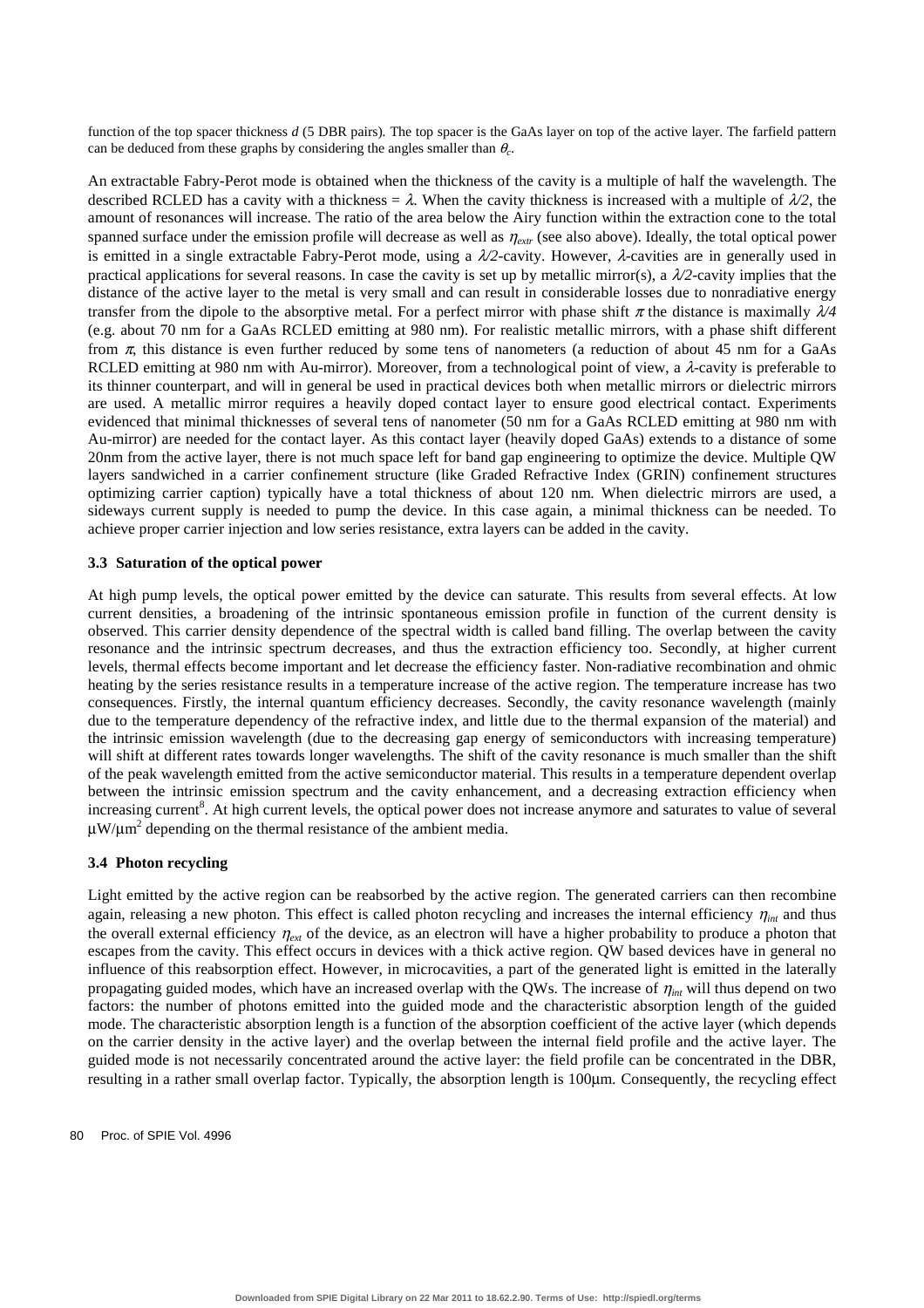function of the top spacer thickness *d* (5 DBR pairs)*.* The top spacer is the GaAs layer on top of the active layer. The farfield pattern can be deduced from these graphs by considering the angles smaller than  $\theta_c$ .

An extractable Fabry-Perot mode is obtained when the thickness of the cavity is a multiple of half the wavelength. The described RCLED has a cavity with a thickness =  $\lambda$ . When the cavity thickness is increased with a multiple of  $\lambda/2$ , the amount of resonances will increase. The ratio of the area below the Airy function within the extraction cone to the total spanned surface under the emission profile will decrease as well as <sup>η</sup>*extr* (see also above). Ideally, the total optical power is emitted in a single extractable Fabry-Perot mode, using a  $\lambda/2$ -cavity. However,  $\lambda$ -cavities are in generally used in practical applications for several reasons. In case the cavity is set up by metallic mirror(s), a  $\lambda/2$ -cavity implies that the distance of the active layer to the metal is very small and can result in considerable losses due to nonradiative energy transfer from the dipole to the absorptive metal. For a perfect mirror with phase shift  $\pi$  the distance is maximally  $\lambda/4$ (e.g. about 70 nm for a GaAs RCLED emitting at 980 nm). For realistic metallic mirrors, with a phase shift different from  $\pi$ , this distance is even further reduced by some tens of nanometers (a reduction of about 45 nm for a GaAs RCLED emitting at 980 nm with Au-mirror). Moreover, from a technological point of view, a  $\lambda$ -cavity is preferable to its thinner counterpart, and will in general be used in practical devices both when metallic mirrors or dielectric mirrors are used. A metallic mirror requires a heavily doped contact layer to ensure good electrical contact. Experiments evidenced that minimal thicknesses of several tens of nanometer (50 nm for a GaAs RCLED emitting at 980 nm with Au-mirror) are needed for the contact layer. As this contact layer (heavily doped GaAs) extends to a distance of some 20nm from the active layer, there is not much space left for band gap engineering to optimize the device. Multiple QW layers sandwiched in a carrier confinement structure (like Graded Refractive Index (GRIN) confinement structures optimizing carrier caption) typically have a total thickness of about 120 nm. When dielectric mirrors are used, a sideways current supply is needed to pump the device. In this case again, a minimal thickness can be needed. To achieve proper carrier injection and low series resistance, extra layers can be added in the cavity.

#### **3.3 Saturation of the optical power**

At high pump levels, the optical power emitted by the device can saturate. This results from several effects. At low current densities, a broadening of the intrinsic spontaneous emission profile in function of the current density is observed. This carrier density dependence of the spectral width is called band filling. The overlap between the cavity resonance and the intrinsic spectrum decreases, and thus the extraction efficiency too. Secondly, at higher current levels, thermal effects become important and let decrease the efficiency faster. Non-radiative recombination and ohmic heating by the series resistance results in a temperature increase of the active region. The temperature increase has two consequences. Firstly, the internal quantum efficiency decreases. Secondly, the cavity resonance wavelength (mainly due to the temperature dependency of the refractive index, and little due to the thermal expansion of the material) and the intrinsic emission wavelength (due to the decreasing gap energy of semiconductors with increasing temperature) will shift at different rates towards longer wavelengths. The shift of the cavity resonance is much smaller than the shift of the peak wavelength emitted from the active semiconductor material. This results in a temperature dependent overlap between the intrinsic emission spectrum and the cavity enhancement, and a decreasing extraction efficiency when increasing current<sup>8</sup>. At high current levels, the optical power does not increase anymore and saturates to value of several  $\mu$ W/ $\mu$ m<sup>2</sup> depending on the thermal resistance of the ambient media.

## **3.4 Photon recycling**

Light emitted by the active region can be reabsorbed by the active region. The generated carriers can then recombine again, releasing a new photon. This effect is called photon recycling and increases the internal efficiency  $\eta_{int}$  and thus the overall external efficiency <sup>η</sup>*ext* of the device, as an electron will have a higher probability to produce a photon that escapes from the cavity. This effect occurs in devices with a thick active region. QW based devices have in general no influence of this reabsorption effect. However, in microcavities, a part of the generated light is emitted in the laterally propagating guided modes, which have an increased overlap with the QWs. The increase of  $\eta_{int}$  will thus depend on two factors: the number of photons emitted into the guided mode and the characteristic absorption length of the guided mode. The characteristic absorption length is a function of the absorption coefficient of the active layer (which depends on the carrier density in the active layer) and the overlap between the internal field profile and the active layer. The guided mode is not necessarily concentrated around the active layer: the field profile can be concentrated in the DBR, resulting in a rather small overlap factor. Typically, the absorption length is 100µm. Consequently, the recycling effect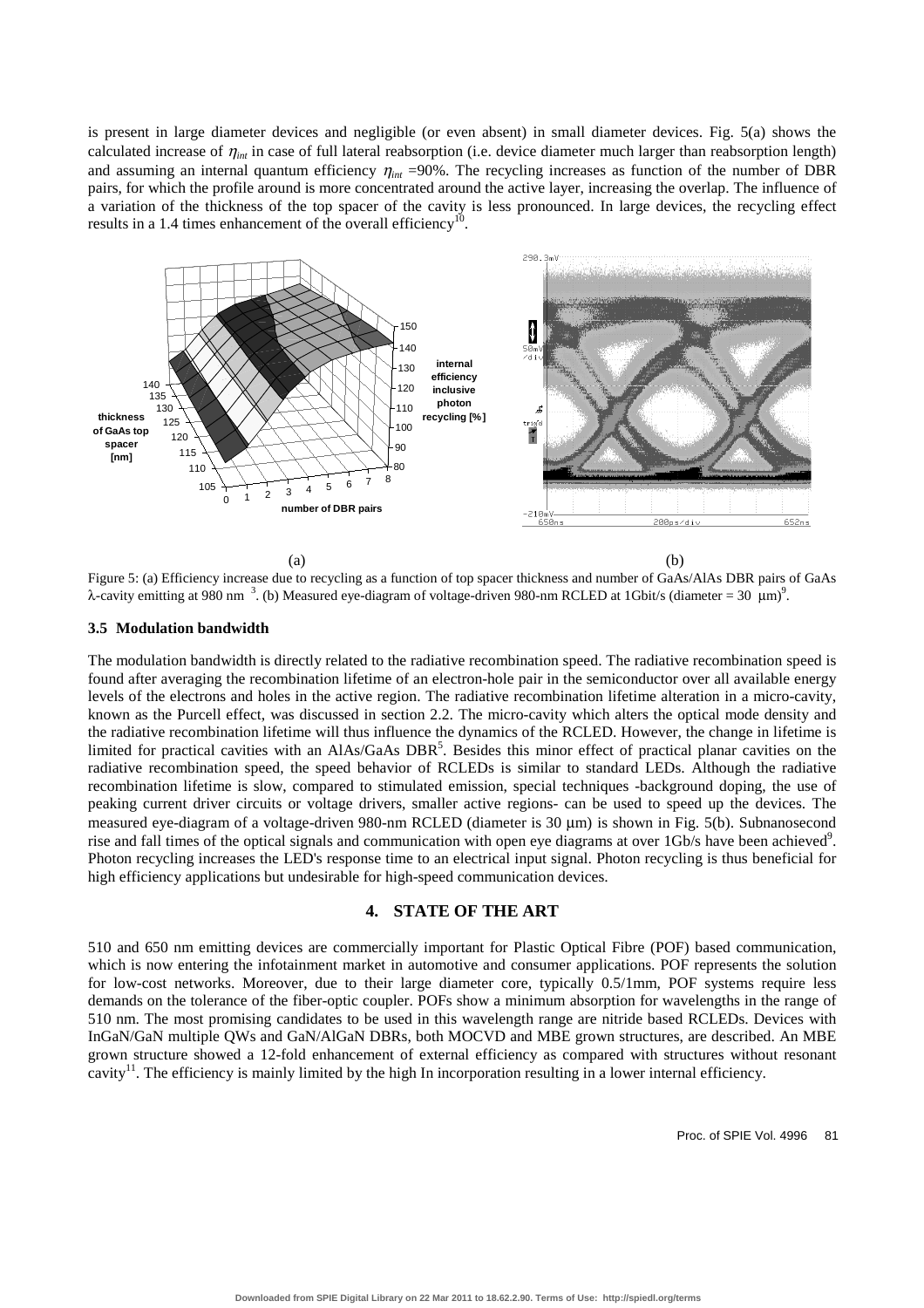is present in large diameter devices and negligible (or even absent) in small diameter devices. Fig. 5(a) shows the calculated increase of  $\eta_{in}$  in case of full lateral reabsorption (i.e. device diameter much larger than reabsorption length) and assuming an internal quantum efficiency  $\eta_{int}$  =90%. The recycling increases as function of the number of DBR pairs, for which the profile around is more concentrated around the active layer, increasing the overlap. The influence of a variation of the thickness of the top spacer of the cavity is less pronounced. In large devices, the recycling effect results in a 1.4 times enhancement of the overall efficiency<sup>10</sup>.



Figure 5: (a) Efficiency increase due to recycling as a function of top spacer thickness and number of GaAs/AlAs DBR pairs of GaAs λ-cavity emitting at 980 nm<sup>3</sup>. (b) Measured eye-diagram of voltage-driven 980-nm RCLED at 1Gbit/s (diameter = 30 μm)<sup>9</sup>.

### **3.5 Modulation bandwidth**

The modulation bandwidth is directly related to the radiative recombination speed. The radiative recombination speed is found after averaging the recombination lifetime of an electron-hole pair in the semiconductor over all available energy levels of the electrons and holes in the active region. The radiative recombination lifetime alteration in a micro-cavity, known as the Purcell effect, was discussed in section 2.2. The micro-cavity which alters the optical mode density and the radiative recombination lifetime will thus influence the dynamics of the RCLED. However, the change in lifetime is limited for practical cavities with an AlAs/GaAs DBR<sup>5</sup>. Besides this minor effect of practical planar cavities on the radiative recombination speed, the speed behavior of RCLEDs is similar to standard LEDs. Although the radiative recombination lifetime is slow, compared to stimulated emission, special techniques -background doping, the use of peaking current driver circuits or voltage drivers, smaller active regions- can be used to speed up the devices. The measured eye-diagram of a voltage-driven 980-nm RCLED (diameter is 30 µm) is shown in Fig. 5(b). Subnanosecond rise and fall times of the optical signals and communication with open eye diagrams at over  $1Gb/s$  have been achieved<sup>9</sup>. Photon recycling increases the LED's response time to an electrical input signal. Photon recycling is thus beneficial for high efficiency applications but undesirable for high-speed communication devices.

# **4. STATE OF THE ART**

510 and 650 nm emitting devices are commercially important for Plastic Optical Fibre (POF) based communication, which is now entering the infotainment market in automotive and consumer applications. POF represents the solution for low-cost networks. Moreover, due to their large diameter core, typically 0.5/1mm, POF systems require less demands on the tolerance of the fiber-optic coupler. POFs show a minimum absorption for wavelengths in the range of 510 nm. The most promising candidates to be used in this wavelength range are nitride based RCLEDs. Devices with InGaN/GaN multiple QWs and GaN/AlGaN DBRs, both MOCVD and MBE grown structures, are described. An MBE grown structure showed a 12-fold enhancement of external efficiency as compared with structures without resonant cavity<sup>11</sup>. The efficiency is mainly limited by the high In incorporation resulting in a lower internal efficiency.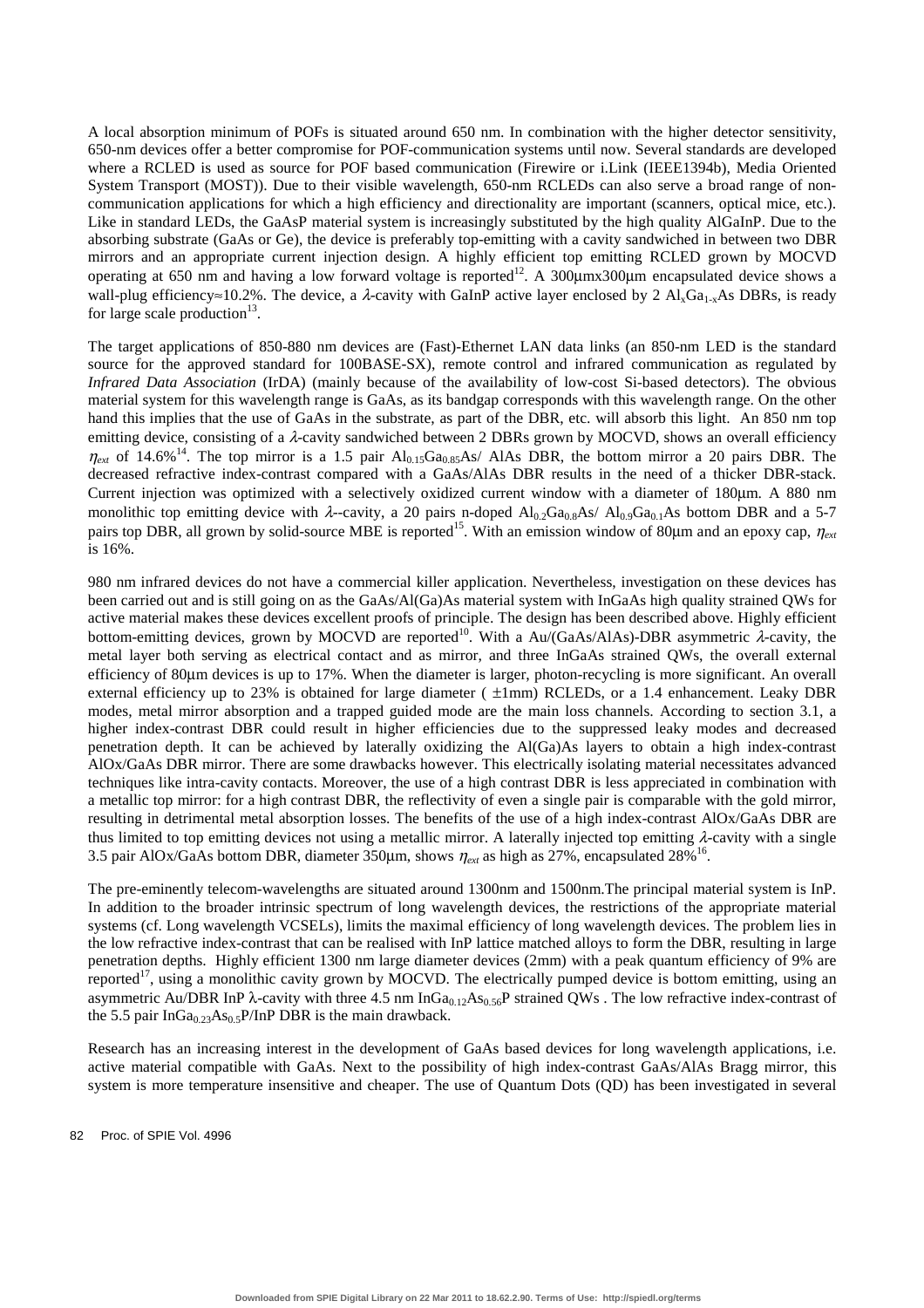A local absorption minimum of POFs is situated around 650 nm. In combination with the higher detector sensitivity, 650-nm devices offer a better compromise for POF-communication systems until now. Several standards are developed where a RCLED is used as source for POF based communication (Firewire or i.Link (IEEE1394b), Media Oriented System Transport (MOST)). Due to their visible wavelength, 650-nm RCLEDs can also serve a broad range of noncommunication applications for which a high efficiency and directionality are important (scanners, optical mice, etc.). Like in standard LEDs, the GaAsP material system is increasingly substituted by the high quality AlGaInP. Due to the absorbing substrate (GaAs or Ge), the device is preferably top-emitting with a cavity sandwiched in between two DBR mirrors and an appropriate current injection design. A highly efficient top emitting RCLED grown by MOCVD operating at 650 nm and having a low forward voltage is reported<sup>12</sup>. A 300 $\mu$ mx300 $\mu$ m encapsulated device shows a wall-plug efficiency≈10.2%. The device, a  $\lambda$ -cavity with GaInP active layer enclosed by 2 Al<sub>x</sub>Ga<sub>1-x</sub>As DBRs, is ready for large scale production $13$ .

The target applications of 850-880 nm devices are (Fast)-Ethernet LAN data links (an 850-nm LED is the standard source for the approved standard for 100BASE-SX), remote control and infrared communication as regulated by *Infrared Data Association* (IrDA) (mainly because of the availability of low-cost Si-based detectors). The obvious material system for this wavelength range is GaAs, as its bandgap corresponds with this wavelength range. On the other hand this implies that the use of GaAs in the substrate, as part of the DBR, etc. will absorb this light. An 850 nm top emitting device, consisting of a λ-cavity sandwiched between 2 DBRs grown by MOCVD, shows an overall efficiency  $\eta_{ext}$  of 14.6%<sup>14</sup>. The top mirror is a 1.5 pair  $Al_{0.15}Ga_{0.85}As/AlAs DBR$ , the bottom mirror a 20 pairs DBR. The decreased refractive index-contrast compared with a GaAs/AlAs DBR results in the need of a thicker DBR-stack. Current injection was optimized with a selectively oxidized current window with a diameter of 180µm. A 880 nm monolithic top emitting device with  $\lambda$ -cavity, a 20 pairs n-doped  $Al_{0.2}Ga_{0.8}As/ Al_{0.9}Ga_{0.1}As$  bottom DBR and a 5-7 pairs top DBR, all grown by solid-source MBE is reported15. With an emission window of 80µm and an epoxy cap, <sup>η</sup>*ext* is 16%.

980 nm infrared devices do not have a commercial killer application. Nevertheless, investigation on these devices has been carried out and is still going on as the GaAs/Al(Ga)As material system with InGaAs high quality strained QWs for active material makes these devices excellent proofs of principle. The design has been described above. Highly efficient bottom-emitting devices, grown by MOCVD are reported<sup>10</sup>. With a Au/(GaAs/AlAs)-DBR asymmetric λ-cavity, the metal layer both serving as electrical contact and as mirror, and three InGaAs strained QWs, the overall external efficiency of 80µm devices is up to 17%. When the diameter is larger, photon-recycling is more significant. An overall external efficiency up to 23% is obtained for large diameter ( $\pm 1$ mm) RCLEDs, or a 1.4 enhancement. Leaky DBR modes, metal mirror absorption and a trapped guided mode are the main loss channels. According to section 3.1, a higher index-contrast DBR could result in higher efficiencies due to the suppressed leaky modes and decreased penetration depth. It can be achieved by laterally oxidizing the Al(Ga)As layers to obtain a high index-contrast AlOx/GaAs DBR mirror. There are some drawbacks however. This electrically isolating material necessitates advanced techniques like intra-cavity contacts. Moreover, the use of a high contrast DBR is less appreciated in combination with a metallic top mirror: for a high contrast DBR, the reflectivity of even a single pair is comparable with the gold mirror, resulting in detrimental metal absorption losses. The benefits of the use of a high index-contrast AlOx/GaAs DBR are thus limited to top emitting devices not using a metallic mirror. A laterally injected top emitting λ*-*cavity with a single 3.5 pair AlOx/GaAs bottom DBR, diameter 350µm, shows <sup>η</sup>*ext* as high as 27%, encapsulated 28%16.

The pre-eminently telecom-wavelengths are situated around 1300nm and 1500nm.The principal material system is InP. In addition to the broader intrinsic spectrum of long wavelength devices, the restrictions of the appropriate material systems (cf. Long wavelength VCSELs), limits the maximal efficiency of long wavelength devices. The problem lies in the low refractive index-contrast that can be realised with InP lattice matched alloys to form the DBR, resulting in large penetration depths. Highly efficient 1300 nm large diameter devices (2mm) with a peak quantum efficiency of 9% are reported<sup>17</sup>, using a monolithic cavity grown by MOCVD. The electrically pumped device is bottom emitting, using an asymmetric Au/DBR InP  $\lambda$ -cavity with three 4.5 nm InGa<sub>0.12</sub>As<sub>0.56</sub>P strained QWs . The low refractive index-contrast of the 5.5 pair  $InGa<sub>0.23</sub>As<sub>0.5</sub>P/InP DBR$  is the main drawback.

Research has an increasing interest in the development of GaAs based devices for long wavelength applications, i.e. active material compatible with GaAs. Next to the possibility of high index-contrast GaAs/AlAs Bragg mirror, this system is more temperature insensitive and cheaper. The use of Quantum Dots (QD) has been investigated in several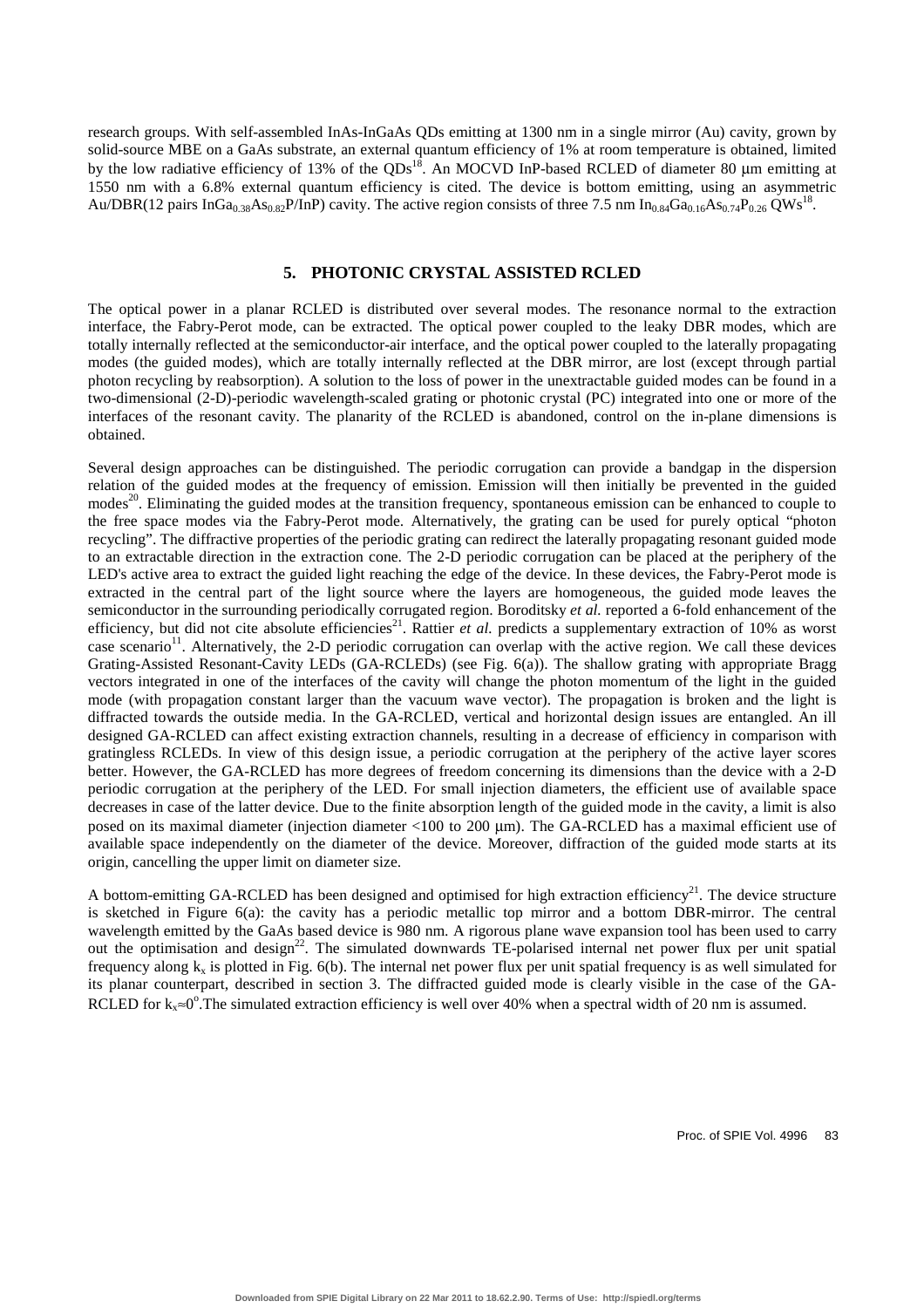research groups. With self-assembled InAs-InGaAs QDs emitting at 1300 nm in a single mirror (Au) cavity, grown by solid-source MBE on a GaAs substrate, an external quantum efficiency of 1% at room temperature is obtained, limited by the low radiative efficiency of 13% of the QDs<sup>18</sup>. An MOCVD InP-based RCLED of diameter 80 µm emitting at 1550 nm with a 6.8% external quantum efficiency is cited. The device is bottom emitting, using an asymmetric Au/DBR(12 pairs InGa<sub>0.38</sub>As<sub>0.82</sub>P/InP) cavity. The active region consists of three 7.5 nm In<sub>0.84</sub>Ga<sub>0.16</sub>As<sub>0.74</sub>P<sub>0.26</sub> QWs<sup>18</sup>.

# **5. PHOTONIC CRYSTAL ASSISTED RCLED**

The optical power in a planar RCLED is distributed over several modes. The resonance normal to the extraction interface, the Fabry-Perot mode, can be extracted. The optical power coupled to the leaky DBR modes, which are totally internally reflected at the semiconductor-air interface, and the optical power coupled to the laterally propagating modes (the guided modes), which are totally internally reflected at the DBR mirror, are lost (except through partial photon recycling by reabsorption). A solution to the loss of power in the unextractable guided modes can be found in a two-dimensional (2-D)-periodic wavelength-scaled grating or photonic crystal (PC) integrated into one or more of the interfaces of the resonant cavity. The planarity of the RCLED is abandoned, control on the in-plane dimensions is obtained.

Several design approaches can be distinguished. The periodic corrugation can provide a bandgap in the dispersion relation of the guided modes at the frequency of emission. Emission will then initially be prevented in the guided modes<sup>20</sup>. Eliminating the guided modes at the transition frequency, spontaneous emission can be enhanced to couple to the free space modes via the Fabry-Perot mode. Alternatively, the grating can be used for purely optical "photon recycling". The diffractive properties of the periodic grating can redirect the laterally propagating resonant guided mode to an extractable direction in the extraction cone. The 2-D periodic corrugation can be placed at the periphery of the LED's active area to extract the guided light reaching the edge of the device. In these devices, the Fabry-Perot mode is extracted in the central part of the light source where the layers are homogeneous, the guided mode leaves the semiconductor in the surrounding periodically corrugated region. Boroditsky *et al.* reported a 6-fold enhancement of the efficiency, but did not cite absolute efficiencies<sup>21</sup>. Rattier *et al.* predicts a supplementary extraction of 10% as worst case scenario<sup>11</sup>. Alternatively, the 2-D periodic corrugation can overlap with the active region. We call these devices Grating-Assisted Resonant-Cavity LEDs (GA-RCLEDs) (see Fig. 6(a)). The shallow grating with appropriate Bragg vectors integrated in one of the interfaces of the cavity will change the photon momentum of the light in the guided mode (with propagation constant larger than the vacuum wave vector). The propagation is broken and the light is diffracted towards the outside media. In the GA-RCLED, vertical and horizontal design issues are entangled. An ill designed GA-RCLED can affect existing extraction channels, resulting in a decrease of efficiency in comparison with gratingless RCLEDs. In view of this design issue, a periodic corrugation at the periphery of the active layer scores better. However, the GA-RCLED has more degrees of freedom concerning its dimensions than the device with a 2-D periodic corrugation at the periphery of the LED. For small injection diameters, the efficient use of available space decreases in case of the latter device. Due to the finite absorption length of the guided mode in the cavity, a limit is also posed on its maximal diameter (injection diameter <100 to 200 µm). The GA-RCLED has a maximal efficient use of available space independently on the diameter of the device. Moreover, diffraction of the guided mode starts at its origin, cancelling the upper limit on diameter size.

A bottom-emitting GA-RCLED has been designed and optimised for high extraction efficiency<sup>21</sup>. The device structure is sketched in Figure 6(a): the cavity has a periodic metallic top mirror and a bottom DBR-mirror. The central wavelength emitted by the GaAs based device is 980 nm. A rigorous plane wave expansion tool has been used to carry out the optimisation and design<sup>22</sup>. The simulated downwards TE-polarised internal net power flux per unit spatial frequency along  $k_x$  is plotted in Fig. 6(b). The internal net power flux per unit spatial frequency is as well simulated for its planar counterpart, described in section 3. The diffracted guided mode is clearly visible in the case of the GA-RCLED for  $k_x \approx 0^\circ$ . The simulated extraction efficiency is well over 40% when a spectral width of 20 nm is assumed.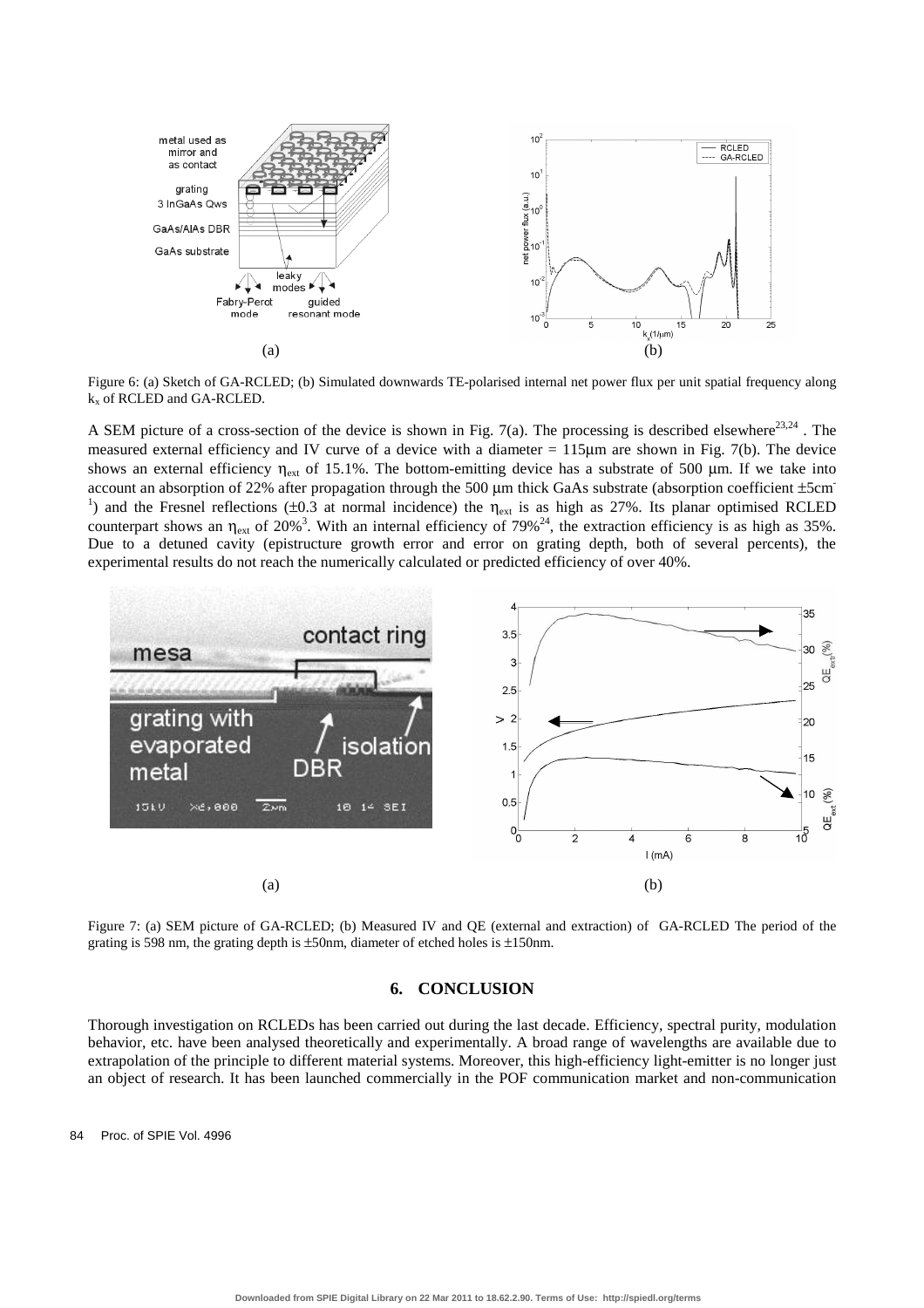

Figure 6: (a) Sketch of GA-RCLED; (b) Simulated downwards TE-polarised internal net power flux per unit spatial frequency along  $k_x$  of RCLED and GA-RCLED.

A SEM picture of a cross-section of the device is shown in Fig. 7(a). The processing is described elsewhere<sup>23,24</sup>. The measured external efficiency and IV curve of a device with a diameter = 115µm are shown in Fig. 7(b). The device shows an external efficiency  $\eta_{ext}$  of 15.1%. The bottom-emitting device has a substrate of 500 µm. If we take into account an absorption of 22% after propagation through the 500 µm thick GaAs substrate (absorption coefficient ±5cm-<sup>1</sup>) and the Fresnel reflections ( $\pm 0.3$  at normal incidence) the  $\eta_{ext}$  is as high as 27%. Its planar optimised RCLED counterpart shows an  $\eta_{ext}$  of 20%<sup>3</sup>. With an internal efficiency of 79%<sup>24</sup>, the extraction efficiency is as high as 35%. Due to a detuned cavity (epistructure growth error and error on grating depth, both of several percents), the experimental results do not reach the numerically calculated or predicted efficiency of over 40%.



Figure 7: (a) SEM picture of GA-RCLED; (b) Measured IV and QE (external and extraction) of GA-RCLED The period of the grating is 598 nm, the grating depth is  $\pm$ 50nm, diameter of etched holes is  $\pm$ 150nm.

## **6. CONCLUSION**

Thorough investigation on RCLEDs has been carried out during the last decade. Efficiency, spectral purity, modulation behavior, etc. have been analysed theoretically and experimentally. A broad range of wavelengths are available due to extrapolation of the principle to different material systems. Moreover, this high-efficiency light-emitter is no longer just an object of research. It has been launched commercially in the POF communication market and non-communication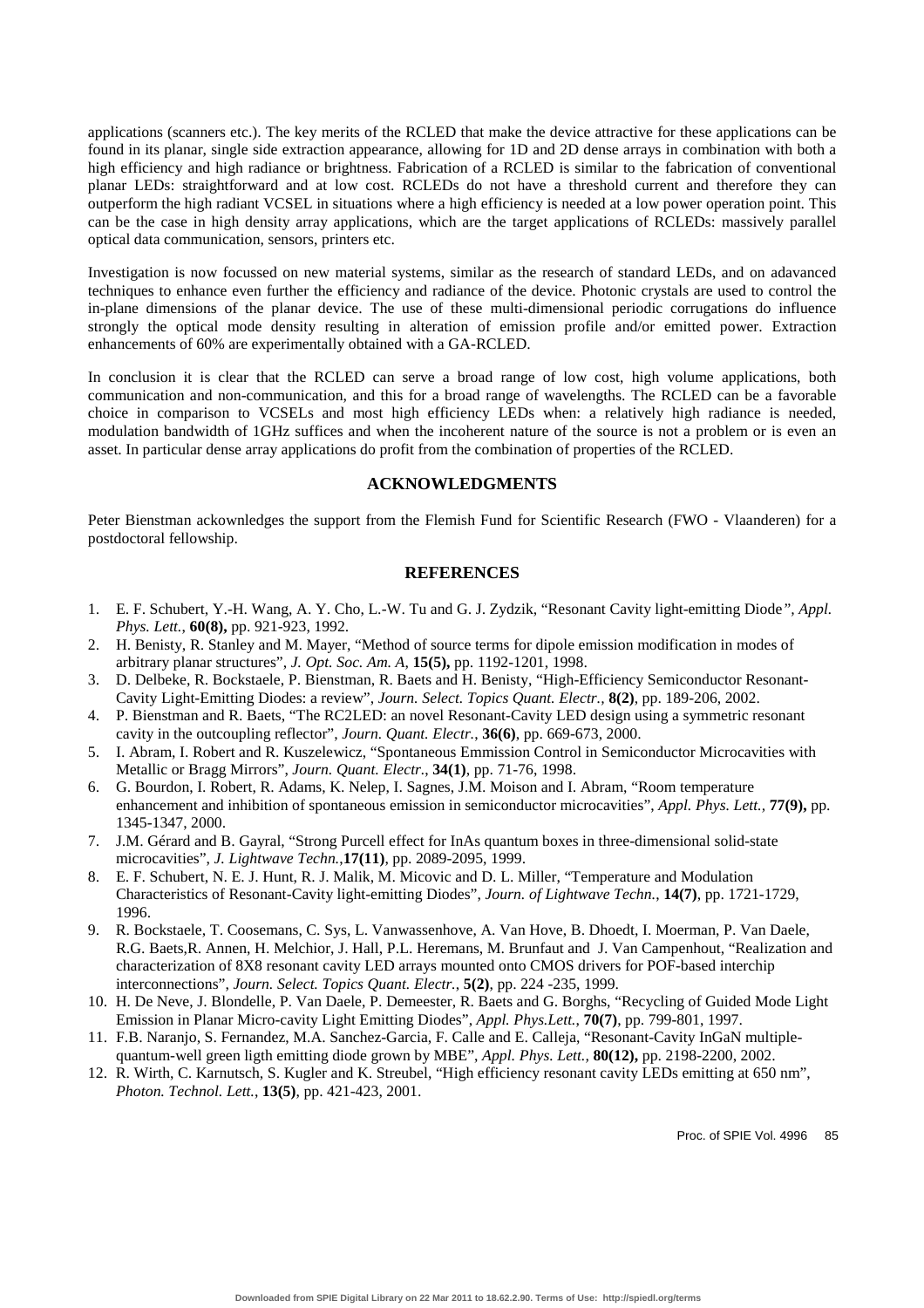applications (scanners etc.). The key merits of the RCLED that make the device attractive for these applications can be found in its planar, single side extraction appearance, allowing for 1D and 2D dense arrays in combination with both a high efficiency and high radiance or brightness. Fabrication of a RCLED is similar to the fabrication of conventional planar LEDs: straightforward and at low cost. RCLEDs do not have a threshold current and therefore they can outperform the high radiant VCSEL in situations where a high efficiency is needed at a low power operation point. This can be the case in high density array applications, which are the target applications of RCLEDs: massively parallel optical data communication, sensors, printers etc.

Investigation is now focussed on new material systems, similar as the research of standard LEDs, and on adavanced techniques to enhance even further the efficiency and radiance of the device. Photonic crystals are used to control the in-plane dimensions of the planar device. The use of these multi-dimensional periodic corrugations do influence strongly the optical mode density resulting in alteration of emission profile and/or emitted power. Extraction enhancements of 60% are experimentally obtained with a GA-RCLED.

In conclusion it is clear that the RCLED can serve a broad range of low cost, high volume applications, both communication and non-communication, and this for a broad range of wavelengths. The RCLED can be a favorable choice in comparison to VCSELs and most high efficiency LEDs when: a relatively high radiance is needed, modulation bandwidth of 1GHz suffices and when the incoherent nature of the source is not a problem or is even an asset. In particular dense array applications do profit from the combination of properties of the RCLED.

# **ACKNOWLEDGMENTS**

Peter Bienstman ackownledges the support from the Flemish Fund for Scientific Research (FWO - Vlaanderen) for a postdoctoral fellowship.

# **REFERENCES**

- 1. E. F. Schubert, Y.-H. Wang, A. Y. Cho, L.-W. Tu and G. J. Zydzik, "Resonant Cavity light-emitting Diode*", Appl. Phys. Lett.*, **60(8),** pp. 921-923, 1992.
- 2. H. Benisty, R. Stanley and M. Mayer, "Method of source terms for dipole emission modification in modes of arbitrary planar structures", *J. Opt. Soc. Am. A*, **15(5),** pp. 1192-1201, 1998.
- 3. D. Delbeke, R. Bockstaele, P. Bienstman, R. Baets and H. Benisty, "High-Efficiency Semiconductor Resonant-Cavity Light-Emitting Diodes: a review", *Journ. Select. Topics Quant. Electr.,* **8(2)**, pp. 189-206, 2002.
- 4. P. Bienstman and R. Baets, "The RC2LED: an novel Resonant-Cavity LED design using a symmetric resonant cavity in the outcoupling reflector", *Journ. Quant. Electr.*, **36(6)**, pp. 669-673, 2000.
- 5. I. Abram, I. Robert and R. Kuszelewicz, "Spontaneous Emmission Control in Semiconductor Microcavities with Metallic or Bragg Mirrors", *Journ. Quant. Electr.*, **34(1)**, pp. 71-76, 1998.
- 6. G. Bourdon, I. Robert, R. Adams, K. Nelep, I. Sagnes, J.M. Moison and I. Abram, "Room temperature enhancement and inhibition of spontaneous emission in semiconductor microcavities", *Appl. Phys. Lett.,* **77(9),** pp. 1345-1347, 2000.
- 7. J.M. Gérard and B. Gayral, "Strong Purcell effect for InAs quantum boxes in three-dimensional solid-state microcavities", *J. Lightwave Techn.*,**17(11)**, pp. 2089-2095, 1999.
- 8. E. F. Schubert, N. E. J. Hunt, R. J. Malik, M. Micovic and D. L. Miller, "Temperature and Modulation Characteristics of Resonant-Cavity light-emitting Diodes", *Journ. of Lightwave Techn.*, **14(7)**, pp. 1721-1729, 1996.
- 9. R. Bockstaele, T. Coosemans, C. Sys, L. Vanwassenhove, A. Van Hove, B. Dhoedt, I. Moerman, P. Van Daele, R.G. Baets,R. Annen, H. Melchior, J. Hall, P.L. Heremans, M. Brunfaut and J. Van Campenhout, "Realization and characterization of 8X8 resonant cavity LED arrays mounted onto CMOS drivers for POF-based interchip interconnections", *Journ. Select. Topics Quant. Electr.*, **5(2)**, pp. 224 -235, 1999.
- 10. H. De Neve, J. Blondelle, P. Van Daele, P. Demeester, R. Baets and G. Borghs, "Recycling of Guided Mode Light Emission in Planar Micro-cavity Light Emitting Diodes", *Appl. Phys.Lett.*, **70(7)**, pp. 799-801, 1997.
- 11. F.B. Naranjo, S. Fernandez, M.A. Sanchez-Garcia, F. Calle and E. Calleja, "Resonant-Cavity InGaN multiplequantum-well green ligth emitting diode grown by MBE", *Appl. Phys. Lett.,* **80(12),** pp. 2198-2200, 2002.
- 12. R. Wirth, C. Karnutsch, S. Kugler and K. Streubel, "High efficiency resonant cavity LEDs emitting at 650 nm", *Photon. Technol. Lett.*, **13(5)**, pp. 421-423, 2001.